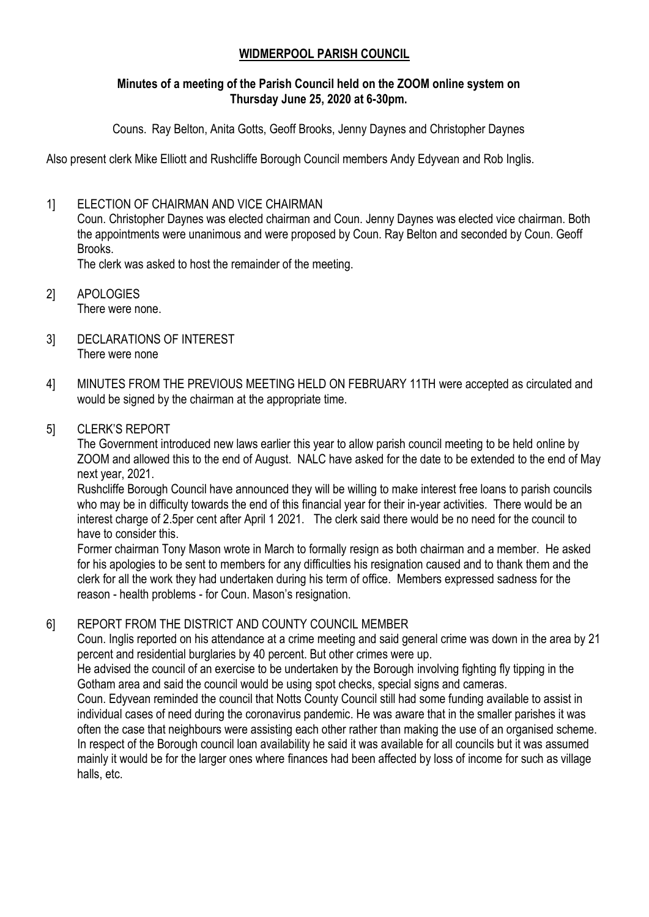### **WIDMERPOOL PARISH COUNCIL**

#### **Minutes of a meeting of the Parish Council held on the ZOOM online system on Thursday June 25, 2020 at 6-30pm.**

Couns. Ray Belton, Anita Gotts, Geoff Brooks, Jenny Daynes and Christopher Daynes

Also present clerk Mike Elliott and Rushcliffe Borough Council members Andy Edyvean and Rob Inglis.

### 1] ELECTION OF CHAIRMAN AND VICE CHAIRMAN

Coun. Christopher Daynes was elected chairman and Coun. Jenny Daynes was elected vice chairman. Both the appointments were unanimous and were proposed by Coun. Ray Belton and seconded by Coun. Geoff Brooks.

The clerk was asked to host the remainder of the meeting.

- 2] APOLOGIES There were none.
- 3] DECLARATIONS OF INTEREST There were none
- 4] MINUTES FROM THE PREVIOUS MEETING HELD ON FEBRUARY 11TH were accepted as circulated and would be signed by the chairman at the appropriate time.
- 5] CLERK'S REPORT

The Government introduced new laws earlier this year to allow parish council meeting to be held online by ZOOM and allowed this to the end of August. NALC have asked for the date to be extended to the end of May next year, 2021.

Rushcliffe Borough Council have announced they will be willing to make interest free loans to parish councils who may be in difficulty towards the end of this financial year for their in-year activities. There would be an interest charge of 2.5per cent after April 1 2021. The clerk said there would be no need for the council to have to consider this.

Former chairman Tony Mason wrote in March to formally resign as both chairman and a member. He asked for his apologies to be sent to members for any difficulties his resignation caused and to thank them and the clerk for all the work they had undertaken during his term of office. Members expressed sadness for the reason - health problems - for Coun. Mason's resignation.

## 6] REPORT FROM THE DISTRICT AND COUNTY COUNCIL MEMBER

Coun. Inglis reported on his attendance at a crime meeting and said general crime was down in the area by 21 percent and residential burglaries by 40 percent. But other crimes were up.

He advised the council of an exercise to be undertaken by the Borough involving fighting fly tipping in the Gotham area and said the council would be using spot checks, special signs and cameras.

Coun. Edyvean reminded the council that Notts County Council still had some funding available to assist in individual cases of need during the coronavirus pandemic. He was aware that in the smaller parishes it was often the case that neighbours were assisting each other rather than making the use of an organised scheme. In respect of the Borough council loan availability he said it was available for all councils but it was assumed mainly it would be for the larger ones where finances had been affected by loss of income for such as village halls, etc.